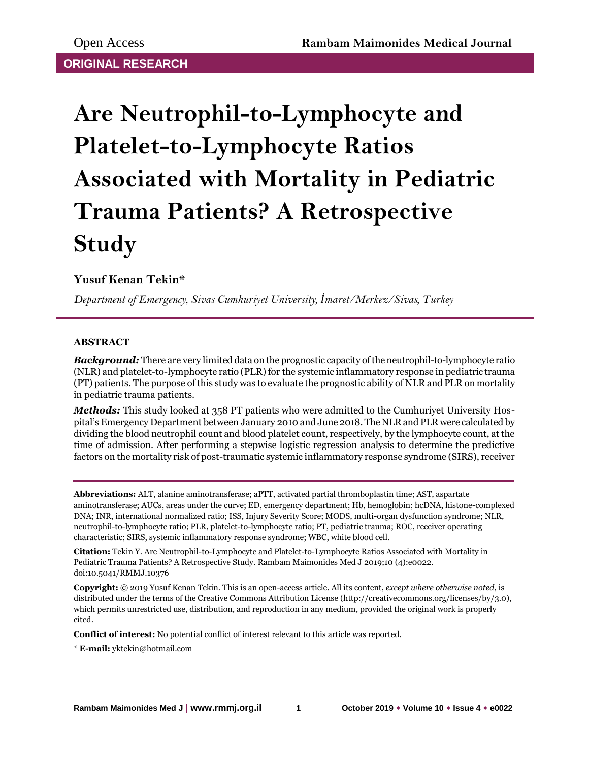# **Are Neutrophil-to-Lymphocyte and Platelet-to-Lymphocyte Ratios Associated with Mortality in Pediatric Trauma Patients? A Retrospective Study**

## **Yusuf Kenan Tekin\***

*Department of Emergency, Sivas Cumhuriyet University, İmaret/Merkez/Sivas, Turkey*

### **ABSTRACT**

*Background:* There are very limited data on the prognostic capacity of the neutrophil-to-lymphocyte ratio (NLR) and platelet-to-lymphocyte ratio (PLR) for the systemic inflammatory response in pediatric trauma (PT) patients. The purpose of this study was to evaluate the prognostic ability of NLR and PLR on mortality in pediatric trauma patients.

*Methods:* This study looked at 358 PT patients who were admitted to the Cumhuriyet University Hospital's Emergency Department between January 2010 and June 2018. The NLR and PLR were calculated by dividing the blood neutrophil count and blood platelet count, respectively, by the lymphocyte count, at the time of admission. After performing a stepwise logistic regression analysis to determine the predictive factors on the mortality risk of post-traumatic systemic inflammatory response syndrome (SIRS), receiver

**Abbreviations:** ALT, alanine aminotransferase; aPTT, activated partial thromboplastin time; AST, aspartate aminotransferase; AUCs, areas under the curve; ED, emergency department; Hb, hemoglobin; hcDNA, histone-complexed DNA; INR, international normalized ratio; ISS, Injury Severity Score; MODS, multi-organ dysfunction syndrome; NLR, neutrophil-to-lymphocyte ratio; PLR, platelet-to-lymphocyte ratio; PT, pediatric trauma; ROC, receiver operating characteristic; SIRS, systemic inflammatory response syndrome; WBC, white blood cell.

**Citation:** Tekin Y. Are Neutrophil-to-Lymphocyte and Platelet-to-Lymphocyte Ratios Associated with Mortality in Pediatric Trauma Patients? A Retrospective Study. Rambam Maimonides Med J 2019;10 (4):e0022. doi:10.5041/RMMJ.10376

**Copyright:** © 2019 Yusuf Kenan Tekin. This is an open-access article. All its content, *except where otherwise noted*, is distributed under the terms of the Creative Commons Attribution License (http://creativecommons.org/licenses/by/3.0), which permits unrestricted use, distribution, and reproduction in any medium, provided the original work is properly cited.

**Conflict of interest:** No potential conflict of interest relevant to this article was reported.

\* **E-mail:** yktekin@hotmail.com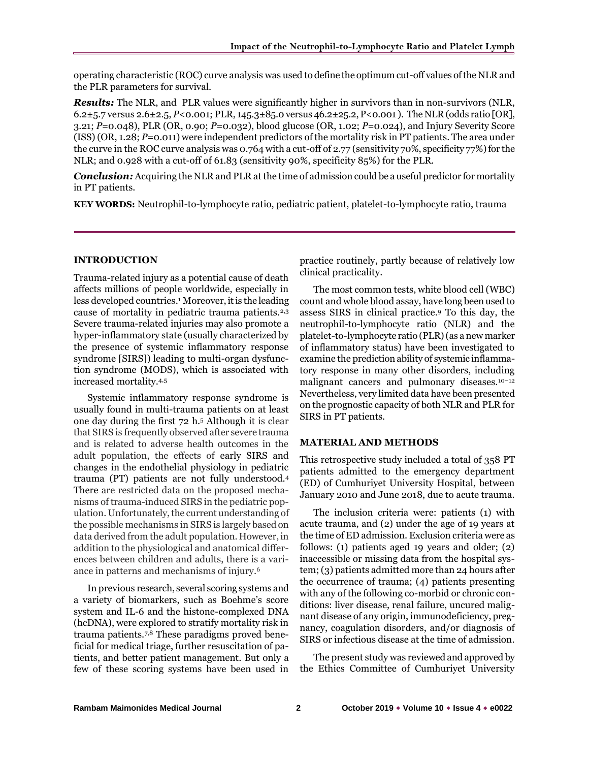operating characteristic (ROC) curve analysis was used to define the optimum cut-off values of the NLR and the PLR parameters for survival.

*Results:* The NLR, and PLR values were significantly higher in survivors than in non-survivors (NLR, 6.2±5.7 versus 2.6±2.5, *P*<0.001; PLR, 145.3±85.0 versus 46.2±25.2, P<0.001 ). The NLR (odds ratio [OR], 3.21; *P*=0.048), PLR (OR, 0.90; *P*=0.032), blood glucose (OR, 1.02; *P*=0.024), and Injury Severity Score (ISS) (OR, 1.28; *P*=0.011) were independent predictors of the mortality risk in PT patients. The area under the curve in the ROC curve analysis was 0.764 with a cut-off of 2.77 (sensitivity 70%, specificity 77%) for the NLR; and 0.928 with a cut-off of 61.83 (sensitivity 90%, specificity 85%) for the PLR.

*Conclusion:* Acquiring the NLR and PLR at the time of admission could be a useful predictor for mortality in PT patients.

**KEY WORDS:** Neutrophil-to-lymphocyte ratio, pediatric patient, platelet-to-lymphocyte ratio, trauma

#### **INTRODUCTION**

Trauma-related injury as a potential cause of death affects millions of people worldwide, especially in less developed countries.<sup>1</sup> Moreover, it is the leading cause of mortality in pediatric trauma patients.2,3 Severe trauma-related injuries may also promote a hyper-inflammatory state (usually characterized by the presence of systemic inflammatory response syndrome [SIRS]) leading to multi-organ dysfunction syndrome (MODS), which is associated with increased mortality.4,5

Systemic inflammatory response syndrome is usually found in multi-trauma patients on at least one day during the first 72 h.<sup>5</sup> Although it is clear that SIRS is frequently observed after severe trauma and is related to adverse health outcomes in the adult population, the effects of early SIRS and changes in the endothelial physiology in pediatric trauma (PT) patients are not fully understood.<sup>4</sup> There are restricted data on the proposed mechanisms of trauma-induced SIRS in the pediatric population. Unfortunately, the current understanding of the possible mechanisms in SIRS is largely based on data derived from the adult population. However, in addition to the physiological and anatomical differences between children and adults, there is a variance in patterns and mechanisms of injury.<sup>6</sup>

In previous research, several scoring systems and a variety of biomarkers, such as Boehme's score system and IL-6 and the histone-complexed DNA (hcDNA), were explored to stratify mortality risk in trauma patients.7,8 These paradigms proved beneficial for medical triage, further resuscitation of patients, and better patient management. But only a few of these scoring systems have been used in

practice routinely, partly because of relatively low clinical practicality.

The most common tests, white blood cell (WBC) count and whole blood assay, have long been used to assess SIRS in clinical practice.<sup>9</sup> To this day, the neutrophil-to-lymphocyte ratio (NLR) and the platelet-to-lymphocyte ratio (PLR) (as a new marker of inflammatory status) have been investigated to examine the prediction ability of systemic inflammatory response in many other disorders, including malignant cancers and pulmonary diseases.<sup>10-12</sup> Nevertheless, very limited data have been presented on the prognostic capacity of both NLR and PLR for SIRS in PT patients.

#### **MATERIAL AND METHODS**

This retrospective study included a total of 358 PT patients admitted to the emergency department (ED) of Cumhuriyet University Hospital, between January 2010 and June 2018, due to acute trauma.

The inclusion criteria were: patients (1) with acute trauma, and (2) under the age of 19 years at the time of ED admission. Exclusion criteria were as follows: (1) patients aged 19 years and older; (2) inaccessible or missing data from the hospital system; (3) patients admitted more than 24 hours after the occurrence of trauma; (4) patients presenting with any of the following co-morbid or chronic conditions: liver disease, renal failure, uncured malignant disease of any origin, immunodeficiency, pregnancy, coagulation disorders, and/or diagnosis of SIRS or infectious disease at the time of admission.

The present study was reviewed and approved by the Ethics Committee of Cumhuriyet University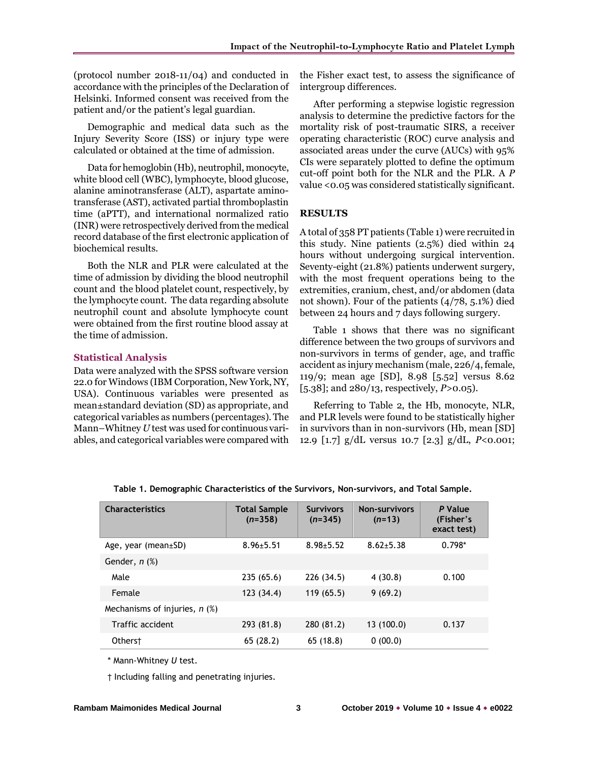(protocol number 2018-11/04) and conducted in accordance with the principles of the Declaration of Helsinki. Informed consent was received from the patient and/or the patient's legal guardian.

Demographic and medical data such as the Injury Severity Score (ISS) or injury type were calculated or obtained at the time of admission.

Data for hemoglobin (Hb), neutrophil, monocyte, white blood cell (WBC), lymphocyte, blood glucose, alanine aminotransferase (ALT), aspartate aminotransferase (AST), activated partial thromboplastin time (aPTT), and international normalized ratio (INR) were retrospectively derived from the medical record database of the first electronic application of biochemical results.

Both the NLR and PLR were calculated at the time of admission by dividing the blood neutrophil count and the blood platelet count, respectively, by the lymphocyte count. The data regarding absolute neutrophil count and absolute lymphocyte count were obtained from the first routine blood assay at the time of admission.

#### **Statistical Analysis**

Data were analyzed with the SPSS software version 22.0 for Windows (IBM Corporation, New York, NY, USA). Continuous variables were presented as mean±standard deviation (SD) as appropriate, and categorical variables as numbers (percentages). The Mann–Whitney *U* test was used for continuous variables, and categorical variables were compared with the Fisher exact test, to assess the significance of intergroup differences.

After performing a stepwise logistic regression analysis to determine the predictive factors for the mortality risk of post-traumatic SIRS, a receiver operating characteristic (ROC) curve analysis and associated areas under the curve (AUCs) with 95% CIs were separately plotted to define the optimum cut-off point both for the NLR and the PLR. A *P* value <0.05 was considered statistically significant.

#### **RESULTS**

A total of 358 PT patients (Table 1) were recruited in this study. Nine patients (2.5%) died within 24 hours without undergoing surgical intervention. Seventy-eight (21.8%) patients underwent surgery, with the most frequent operations being to the extremities, cranium, chest, and/or abdomen (data not shown). Four of the patients (4/78, 5.1%) died between 24 hours and 7 days following surgery.

Table 1 shows that there was no significant difference between the two groups of survivors and non-survivors in terms of gender, age, and traffic accident as injury mechanism (male, 226/4, female, 119/9; mean age [SD], 8.98 [5.52] versus 8.62 [5.38]; and 280/13, respectively, *P*>0.05).

Referring to Table 2, the Hb, monocyte, NLR, and PLR levels were found to be statistically higher in survivors than in non-survivors (Hb, mean [SD] 12.9 [1.7] g/dL versus 10.7 [2.3] g/dL, *P*<0.001;

| <b>Characteristics</b>          | <b>Total Sample</b><br>$(n=358)$ | <b>Survivors</b><br>$(n=345)$ | <b>Non-survivors</b><br>$(n=13)$ | P Value<br>(Fisher's<br>exact test) |
|---------------------------------|----------------------------------|-------------------------------|----------------------------------|-------------------------------------|
| Age, year (mean $\pm$ SD)       | $8.96 + 5.51$                    | $8.98 + 5.52$                 | $8.62 + 5.38$                    | $0.798*$                            |
| Gender, $n$ $%$                 |                                  |                               |                                  |                                     |
| Male                            | 235(65.6)                        | 226 (34.5)                    | 4(30.8)                          | 0.100                               |
| Female                          | 123 (34.4)                       | 119(65.5)                     | 9(69.2)                          |                                     |
| Mechanisms of injuries, $n$ (%) |                                  |                               |                                  |                                     |
| Traffic accident                | 293 (81.8)                       | 280 (81.2)                    | 13(100.0)                        | 0.137                               |
| Otherst                         | 65(28.2)                         | 65(18.8)                      | 0(00.0)                          |                                     |

**Table 1. Demographic Characteristics of the Survivors, Non-survivors, and Total Sample.**

\* Mann-Whitney *U* test.

† Including falling and penetrating injuries.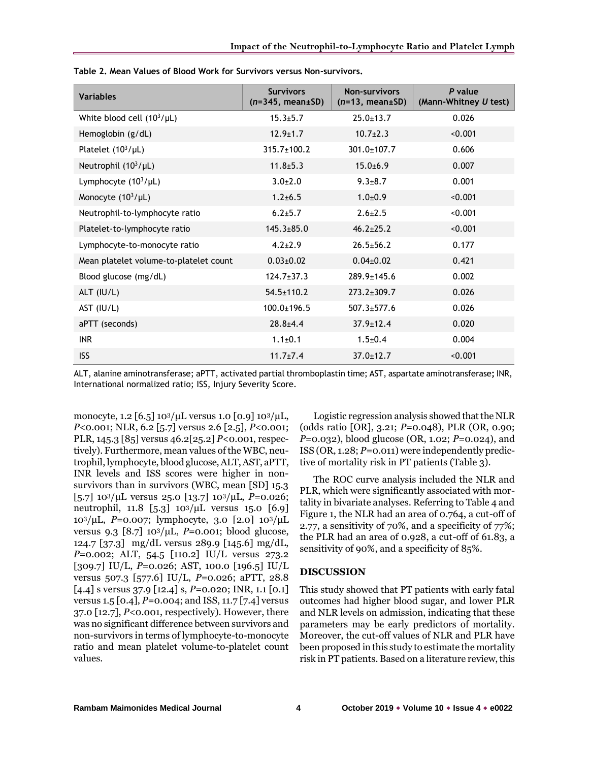| <b>Variables</b>                       | <b>Survivors</b><br>$(n=345, mean \pm SD)$ | <b>Non-survivors</b><br>$(n=13, mean \pm SD)$ | P value<br>(Mann-Whitney U test) |
|----------------------------------------|--------------------------------------------|-----------------------------------------------|----------------------------------|
| White blood cell $(10^3/\mu L)$        | $15.3 \pm 5.7$                             | $25.0 \pm 13.7$                               | 0.026                            |
| Hemoglobin (g/dL)                      | $12.9 \pm 1.7$                             | $10.7{\pm}2.3$                                | < 0.001                          |
| Platelet $(10^3/\mu L)$                | $315.7 \pm 100.2$                          | $301.0 \pm 107.7$                             | 0.606                            |
| Neutrophil $(10^3/\mu L)$              | $11.8 + 5.3$                               | $15.0 + 6.9$                                  | 0.007                            |
| Lymphocyte $(10^3/\mu L)$              | $3.0 \pm 2.0$                              | $9.3 \pm 8.7$                                 | 0.001                            |
| Monocyte $(10^3/\mu L)$                | $1.2 \pm 6.5$                              | $1.0 + 0.9$                                   | < 0.001                          |
| Neutrophil-to-lymphocyte ratio         | $6.2 \pm 5.7$                              | $2.6 \pm 2.5$                                 | < 0.001                          |
| Platelet-to-lymphocyte ratio           | $145.3 \pm 85.0$                           | $46.2 \pm 25.2$                               | < 0.001                          |
| Lymphocyte-to-monocyte ratio           | $4.2 \pm 2.9$                              | $26.5 \pm 56.2$                               | 0.177                            |
| Mean platelet volume-to-platelet count | $0.03 \pm 0.02$                            | $0.04 \pm 0.02$                               | 0.421                            |
| Blood glucose (mg/dL)                  | $124.7 \pm 37.3$                           | $289.9 + 145.6$                               | 0.002                            |
| ALT $(IU/L)$                           | $54.5 \pm 110.2$                           | $273.2 \pm 309.7$                             | 0.026                            |
| AST (IU/L)                             | $100.0 \pm 196.5$                          | $507.3 \pm 577.6$                             | 0.026                            |
| aPTT (seconds)                         | $28.8 + 4.4$                               | $37.9 \pm 12.4$                               | 0.020                            |
| <b>INR</b>                             | $1.1 \pm 0.1$                              | $1.5 + 0.4$                                   | 0.004                            |
| <b>ISS</b>                             | $11.7 \pm 7.4$                             | $37.0 \pm 12.7$                               | < 0.001                          |

**Table 2. Mean Values of Blood Work for Survivors versus Non-survivors.**

ALT, alanine aminotransferase; aPTT, activated partial thromboplastin time; AST, aspartate aminotransferase**;** INR, International normalized ratio; ISS, Injury Severity Score.

monocyte, 1.2  $[6.5]$  10<sup>3</sup>/μL versus 1.0  $[0.9]$  10<sup>3</sup>/μL, *P*<0.001; NLR, 6.2 [5.7] versus 2.6 [2.5], *P*<0.001; PLR, 145.3 [85] versus 46.2[25.2] *P*<0.001, respectively). Furthermore, mean values of the WBC, neutrophil, lymphocyte, blood glucose, ALT, AST, aPTT, INR levels and ISS scores were higher in nonsurvivors than in survivors (WBC, mean [SD] 15.3 [5.7] 103/μL versus 25.0 [13.7] 103/μL, *P*=0.026; neutrophil, 11.8 [5.3] 103/μL versus 15.0 [6.9] 103/μL, *P*=0.007; lymphocyte, 3.0 [2.0] 103/μL versus 9.3 [8.7] 103/μL, *P*=0.001; blood glucose, 124.7 [37.3] mg/dL versus 289.9 [145.6] mg/dL, *P*=0.002; ALT, 54.5 [110.2] IU/L versus 273.2 [309.7] IU/L, *P*=0.026; AST, 100.0 [196.5] IU/L versus 507.3 [577.6] IU/L, *P*=0.026; aPTT, 28.8 [4.4] s versus 37.9 [12.4] s,  $P=0.020$ ; INR, 1.1 [0.1] versus 1.5 [0.4], *P*=0.004; and ISS, 11.7 [7.4] versus 37.0 [12.7], *P*<0.001, respectively). However, there was no significant difference between survivors and non-survivors in terms of lymphocyte-to-monocyte ratio and mean platelet volume-to-platelet count values.

Logistic regression analysis showed that the NLR (odds ratio [OR], 3.21; *P*=0.048), PLR (OR, 0.90; *P*=0.032), blood glucose (OR, 1.02; *P*=0.024), and ISS (OR, 1.28; *P*=0.011) were independently predictive of mortality risk in PT patients (Table 3).

The ROC curve analysis included the NLR and PLR, which were significantly associated with mortality in bivariate analyses. Referring to Table 4 and Figure 1, the NLR had an area of 0.764, a cut-off of 2.77, a sensitivity of 70%, and a specificity of 77%; the PLR had an area of 0.928, a cut-off of 61.83, a sensitivity of 90%, and a specificity of 85%.

#### **DISCUSSION**

This study showed that PT patients with early fatal outcomes had higher blood sugar, and lower PLR and NLR levels on admission, indicating that these parameters may be early predictors of mortality. Moreover, the cut-off values of NLR and PLR have been proposed in this study to estimate the mortality risk in PT patients. Based on a literature review, this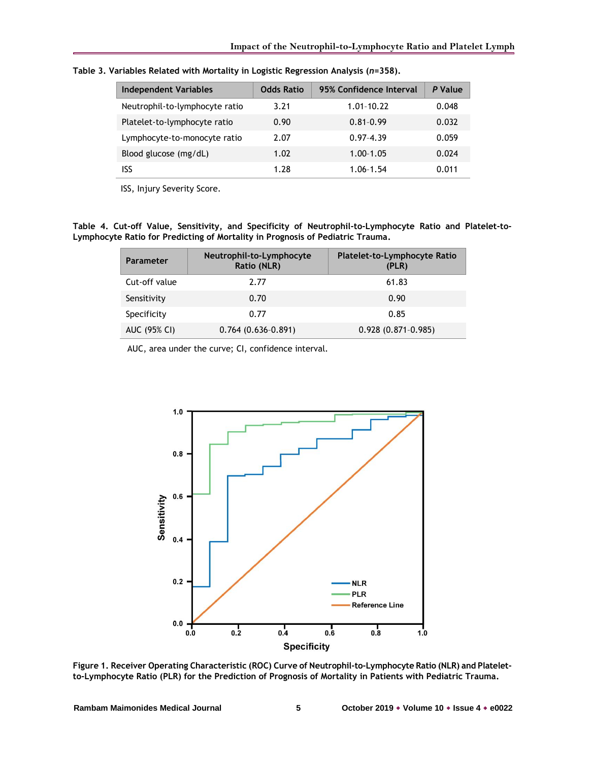| <b>Independent Variables</b>   | <b>Odds Ratio</b> | 95% Confidence Interval | P Value |
|--------------------------------|-------------------|-------------------------|---------|
| Neutrophil-to-lymphocyte ratio | 3.21              | $1.01 - 10.22$          | 0.048   |
| Platelet-to-lymphocyte ratio   | 0.90              | $0.81 - 0.99$           | 0.032   |
| Lymphocyte-to-monocyte ratio   | 2.07              | $0.97 - 4.39$           | 0.059   |
| Blood glucose (mg/dL)          | 1.02              | $1.00 - 1.05$           | 0.024   |
| ISS                            | 1.28              | $1.06 - 1.54$           | 0.011   |

**Table 3. Variables Related with Mortality in Logistic Regression Analysis (***n***=358).**

ISS, Injury Severity Score.

**Table 4. Cut-off Value, Sensitivity, and Specificity of Neutrophil-to-Lymphocyte Ratio and Platelet-to-Lymphocyte Ratio for Predicting of Mortality in Prognosis of Pediatric Trauma.**

| <b>Parameter</b> | Neutrophil-to-Lymphocyte<br>Ratio (NLR) | Platelet-to-Lymphocyte Ratio<br>(PLR) |
|------------------|-----------------------------------------|---------------------------------------|
| Cut-off value    | 2.77                                    | 61.83                                 |
| Sensitivity      | 0.70                                    | 0.90                                  |
| Specificity      | 0.77                                    | 0.85                                  |
| AUC (95% CI)     | $0.764(0.636-0.891)$                    | $0.928(0.871-0.985)$                  |

AUC, area under the curve; CI, confidence interval.



**Figure 1. Receiver Operating Characteristic (ROC) Curve of Neutrophil-to-Lymphocyte Ratio (NLR) and Plateletto-Lymphocyte Ratio (PLR) for the Prediction of Prognosis of Mortality in Patients with Pediatric Trauma.**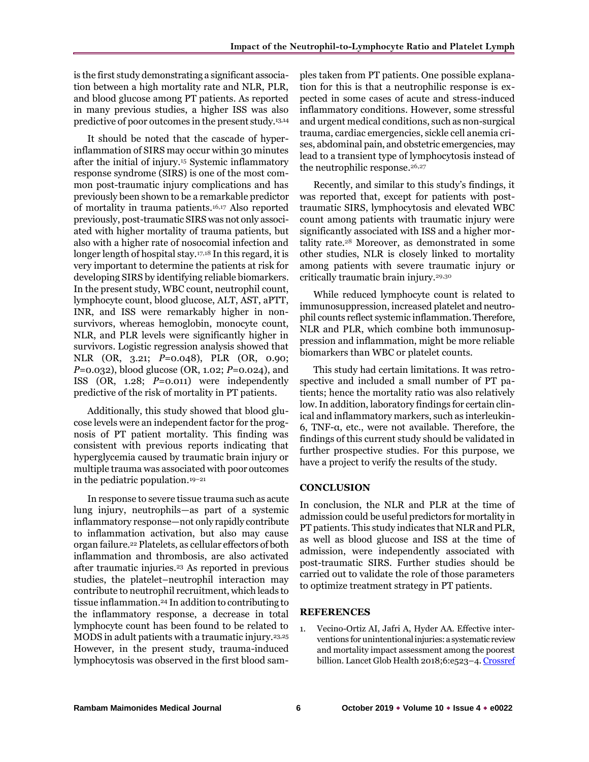is the first study demonstrating a significant association between a high mortality rate and NLR, PLR, and blood glucose among PT patients. As reported in many previous studies, a higher ISS was also predictive of poor outcomes in the present study.13,14

It should be noted that the cascade of hyperinflammation of SIRS may occur within 30 minutes after the initial of injury.<sup>15</sup> Systemic inflammatory response syndrome (SIRS) is one of the most common post-traumatic injury complications and has previously been shown to be a remarkable predictor of mortality in trauma patients.16,17 Also reported previously, post-traumatic SIRS was not only associated with higher mortality of trauma patients, but also with a higher rate of nosocomial infection and longer length of hospital stay.17,18 In this regard, it is very important to determine the patients at risk for developing SIRS by identifying reliable biomarkers. In the present study, WBC count, neutrophil count, lymphocyte count, blood glucose, ALT, AST, aPTT, INR, and ISS were remarkably higher in nonsurvivors, whereas hemoglobin, monocyte count, NLR, and PLR levels were significantly higher in survivors. Logistic regression analysis showed that NLR (OR, 3.21; *P*=0.048), PLR (OR, 0.90; *P*=0.032), blood glucose (OR, 1.02; *P*=0.024), and ISS (OR, 1.28; *P*=0.011) were independently predictive of the risk of mortality in PT patients.

Additionally, this study showed that blood glucose levels were an independent factor for the prognosis of PT patient mortality. This finding was consistent with previous reports indicating that hyperglycemia caused by traumatic brain injury or multiple trauma was associated with poor outcomes in the pediatric population.19–<sup>21</sup>

In response to severe tissue trauma such as acute lung injury, neutrophils—as part of a systemic inflammatory response—not only rapidly contribute to inflammation activation, but also may cause organ failure. <sup>22</sup> Platelets, as cellular effectors of both inflammation and thrombosis, are also activated after traumatic injuries.<sup>23</sup> As reported in previous studies, the platelet–neutrophil interaction may contribute to neutrophil recruitment, which leads to tissue inflammation. <sup>24</sup> In addition to contributing to the inflammatory response, a decrease in total lymphocyte count has been found to be related to MODS in adult patients with a traumatic injury.23,25 However, in the present study, trauma-induced lymphocytosis was observed in the first blood sam-

ples taken from PT patients. One possible explanation for this is that a neutrophilic response is expected in some cases of acute and stress-induced inflammatory conditions. However, some stressful and urgent medical conditions, such as non-surgical trauma, cardiac emergencies, sickle cell anemia crises, abdominal pain, and obstetric emergencies, may lead to a transient type of lymphocytosis instead of the neutrophilic response.<sup>26,27</sup>

Recently, and similar to this study's findings, it was reported that, except for patients with posttraumatic SIRS, lymphocytosis and elevated WBC count among patients with traumatic injury were significantly associated with ISS and a higher mortality rate.<sup>28</sup> Moreover, as demonstrated in some other studies, NLR is closely linked to mortality among patients with severe traumatic injury or critically traumatic brain injury.29,30

While reduced lymphocyte count is related to immunosuppression, increased platelet and neutrophil counts reflect systemic inflammation. Therefore, NLR and PLR, which combine both immunosuppression and inflammation, might be more reliable biomarkers than WBC or platelet counts.

This study had certain limitations. It was retrospective and included a small number of PT patients; hence the mortality ratio was also relatively low. In addition, laboratory findings for certain clinical and inflammatory markers, such as interleukin-6, TNF-α, etc., were not available. Therefore, the findings of this current study should be validated in further prospective studies. For this purpose, we have a project to verify the results of the study.

#### **CONCLUSION**

In conclusion, the NLR and PLR at the time of admission could be useful predictors for mortality in PT patients. This study indicates that NLR and PLR, as well as blood glucose and ISS at the time of admission, were independently associated with post-traumatic SIRS. Further studies should be carried out to validate the role of those parameters to optimize treatment strategy in PT patients.

#### **REFERENCES**

1. Vecino-Ortiz AI, Jafri A, Hyder AA. Effective interventions for unintentional injuries: a systematic review and mortality impact assessment among the poorest billion. Lancet Glob Health 2018;6:e523-4[. Crossref](https://doi.org/10.1016/S2214-109X(18)30107-4)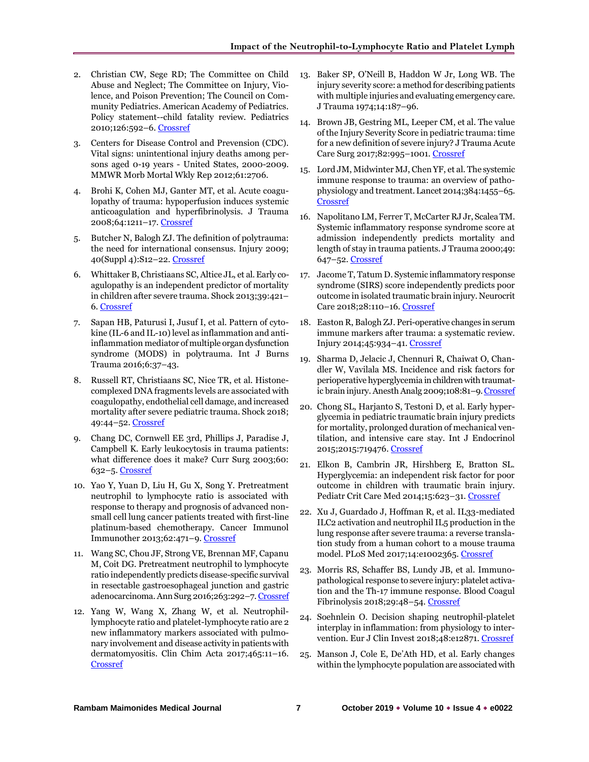- 2. Christian CW, Sege RD; The Committee on Child Abuse and Neglect; The Committee on Injury, Violence, and Poison Prevention; The Council on Community Pediatrics. American Academy of Pediatrics. Policy statement--child fatality review. Pediatrics 2010;126:592–6[. Crossref](https://doi.org/10.1542/peds.2010-2006)
- 3. Centers for Disease Control and Prevension (CDC). Vital signs: unintentional injury deaths among persons aged 0-19 years - United States, 2000-2009. MMWR Morb Mortal Wkly Rep 2012;61:2706.
- 4. Brohi K, Cohen MJ, Ganter MT, et al. Acute coagulopathy of trauma: hypoperfusion induces systemic anticoagulation and hyperfibrinolysis. J Trauma 2008;64:1211–17. [Crossref](https://doi.org/10.1097/TA.0b013e318169cd3c)
- 5. Butcher N, Balogh ZJ. The definition of polytrauma: the need for international consensus. Injury 2009; 40(Suppl 4):S12–22[. Crossref](https://doi.org/10.1016/j.injury.2009.10.032)
- 6. Whittaker B, Christiaans SC, Altice JL, et al. Early coagulopathy is an independent predictor of mortality in children after severe trauma. Shock 2013;39:421– 6[. Crossref](https://doi.org/10.1097/SHK.0b013e31828e08cb)
- 7. Sapan HB, Paturusi I, Jusuf I, et al. Pattern of cytokine (IL-6 and IL-10) level as inflammation and antiinflammation mediator of multiple organ dysfunction syndrome (MODS) in polytrauma. Int J Burns Trauma 2016;6:37–43.
- 8. Russell RT, Christiaans SC, Nice TR, et al. Histonecomplexed DNA fragments levels are associated with coagulopathy, endothelial cell damage, and increased mortality after severe pediatric trauma. Shock 2018; 49:44–52. [Crossref](https://doi.org/10.1097/SHK.0000000000000902)
- 9. Chang DC, Cornwell EE 3rd, Phillips J, Paradise J, Campbell K. Early leukocytosis in trauma patients: what difference does it make? Curr Surg 2003;60: 632–5. [Crossref](https://doi.org/10.1016/j.cursur.2003.07.011)
- 10. Yao Y, Yuan D, Liu H, Gu X, Song Y. Pretreatment neutrophil to lymphocyte ratio is associated with response to therapy and prognosis of advanced nonsmall cell lung cancer patients treated with first-line platinum-based chemotherapy. Cancer Immunol Immunother 2013;62:471–9. [Crossref](https://doi.org/10.1007/s00262-012-1347-9)
- 11. Wang SC, Chou JF, Strong VE, Brennan MF, Capanu M, Coit DG. Pretreatment neutrophil to lymphocyte ratio independently predicts disease-specific survival in resectable gastroesophageal junction and gastric adenocarcinoma. Ann Surg 2016;263:292–7[. Crossref](https://doi.org/10.1097/SLA.0000000000001189)
- 12. Yang W, Wang X, Zhang W, et al. Neutrophillymphocyte ratio and platelet-lymphocyte ratio are 2 new inflammatory markers associated with pulmonary involvement and disease activity in patients with dermatomyositis. Clin Chim Acta 2017;465:11–16. **[Crossref](https://doi.org/10.1016/j.cca.2016.12.007)**
- 13. Baker SP, O'Neill B, Haddon W Jr, Long WB. The injury severity score: a method for describing patients with multiple injuries and evaluating emergency care. J Trauma 1974;14:187–96.
- 14. Brown JB, Gestring ML, Leeper CM, et al. The value of the Injury Severity Score in pediatric trauma: time for a new definition of severe injury? J Trauma Acute Care Surg 2017;82:995–1001. [Crossref](https://doi.org/10.1097/TA.0000000000001440)
- 15. Lord JM, Midwinter MJ, Chen YF, et al. The systemic immune response to trauma: an overview of pathophysiology and treatment. Lancet 2014;384:1455–65. [Crossref](https://doi.org/10.1016/S0140-6736(14)60687-5)
- 16. Napolitano LM, Ferrer T, McCarter RJ Jr, Scalea TM. Systemic inflammatory response syndrome score at admission independently predicts mortality and length of stay in trauma patients. J Trauma 2000;49: 647–52[. Crossref](https://doi.org/10.1097/00005373-200010000-00011)
- 17. Jacome T, Tatum D. Systemic inflammatory response syndrome (SIRS) score independently predicts poor outcome in isolated traumatic brain injury. Neurocrit Care 2018;28:110–16[. Crossref](https://doi.org/10.1007/s12028-017-0410-y)
- 18. Easton R, Balogh ZJ. Peri-operative changes in serum immune markers after trauma: a systematic review. Injury 2014;45:934–41. [Crossref](https://doi.org/10.1016/j.injury.2013.12.002)
- 19. Sharma D, Jelacic J, Chennuri R, Chaiwat O, Chandler W, Vavilala MS. Incidence and risk factors for perioperative hyperglycemia in children with traumatic brain injury. Anesth Analg 2009;108:81–9[.Crossref](https://doi.org/10.1213/ane.0b013e31818a6f32)
- 20. Chong SL, Harjanto S, Testoni D, et al. Early hyperglycemia in pediatric traumatic brain injury predicts for mortality, prolonged duration of mechanical ventilation, and intensive care stay. Int J Endocrinol 2015;2015:719476[. Crossref](https://doi.org/10.1155/2015/719476)
- 21. Elkon B, Cambrin JR, Hirshberg E, Bratton SL. Hyperglycemia: an independent risk factor for poor outcome in children with traumatic brain injury. Pediatr Crit Care Med 2014;15:623–31. [Crossref](https://doi.org/10.1097/PCC.0000000000000170)
- 22. Xu J, Guardado J, Hoffman R, et al. IL33-mediated ILC2 activation and neutrophil IL5 production in the lung response after severe trauma: a reverse translation study from a human cohort to a mouse trauma model. PLoS Med 2017;14:e1002365[. Crossref](https://doi.org/10.1371/journal.pmed.1002365)
- 23. Morris RS, Schaffer BS, Lundy JB, et al. Immunopathological response to severe injury: platelet activation and the Th-17 immune response. Blood Coagul Fibrinolysis 2018;29:48–54. [Crossref](https://doi.org/10.1097/MBC.0000000000000665)
- 24. Soehnlein O. Decision shaping neutrophil-platelet interplay in inflammation: from physiology to intervention. Eur J Clin Invest 2018;48:e12871. [Crossref](https://doi.org/10.1111/eci.12871)
- 25. Manson J, Cole E, De'Ath HD, et al. Early changes within the lymphocyte population are associated with